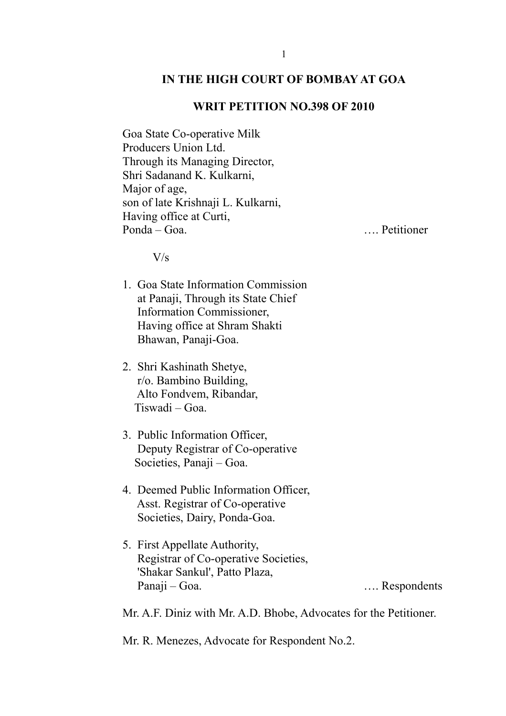### **IN THE HIGH COURT OF BOMBAY AT GOA**

#### **WRIT PETITION NO.398 OF 2010**

Goa State Co-operative Milk Producers Union Ltd. Through its Managing Director, Shri Sadanand K. Kulkarni, Major of age, son of late Krishnaji L. Kulkarni, Having office at Curti, Ponda – Goa. …. Petitioner

V/s

- 1. Goa State Information Commission at Panaji, Through its State Chief Information Commissioner, Having office at Shram Shakti Bhawan, Panaji-Goa.
- 2. Shri Kashinath Shetye, r/o. Bambino Building, Alto Fondvem, Ribandar, Tiswadi – Goa.
- 3. Public Information Officer, Deputy Registrar of Co-operative Societies, Panaji – Goa.
- 4. Deemed Public Information Officer, Asst. Registrar of Co-operative Societies, Dairy, Ponda-Goa.
- 5. First Appellate Authority, Registrar of Co-operative Societies, 'Shakar Sankul', Patto Plaza, Panaji – Goa. …. Respondents

Mr. A.F. Diniz with Mr. A.D. Bhobe, Advocates for the Petitioner.

Mr. R. Menezes, Advocate for Respondent No.2.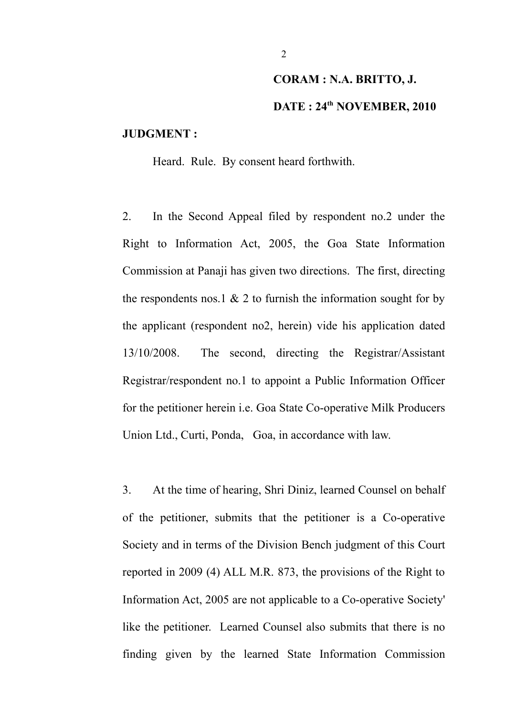# **CORAM : N.A. BRITTO, J. DATE : 24th NOVEMBER, 2010**

### **JUDGMENT :**

Heard. Rule. By consent heard forthwith.

2. In the Second Appeal filed by respondent no.2 under the Right to Information Act, 2005, the Goa State Information Commission at Panaji has given two directions. The first, directing the respondents nos.1  $\&$  2 to furnish the information sought for by the applicant (respondent no2, herein) vide his application dated 13/10/2008. The second, directing the Registrar/Assistant Registrar/respondent no.1 to appoint a Public Information Officer for the petitioner herein i.e. Goa State Co-operative Milk Producers Union Ltd., Curti, Ponda, Goa, in accordance with law.

3. At the time of hearing, Shri Diniz, learned Counsel on behalf of the petitioner, submits that the petitioner is a Co-operative Society and in terms of the Division Bench judgment of this Court reported in 2009 (4) ALL M.R. 873, the provisions of the Right to Information Act, 2005 are not applicable to a Co-operative Society' like the petitioner. Learned Counsel also submits that there is no finding given by the learned State Information Commission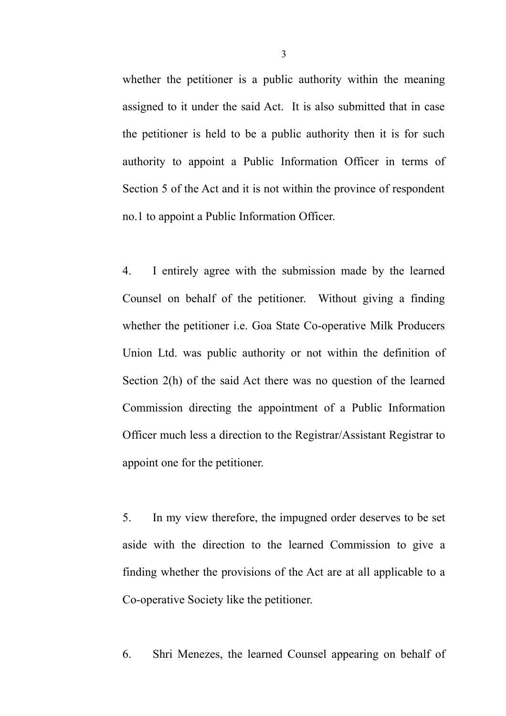whether the petitioner is a public authority within the meaning assigned to it under the said Act. It is also submitted that in case the petitioner is held to be a public authority then it is for such authority to appoint a Public Information Officer in terms of Section 5 of the Act and it is not within the province of respondent no.1 to appoint a Public Information Officer.

4. I entirely agree with the submission made by the learned Counsel on behalf of the petitioner. Without giving a finding whether the petitioner i.e. Goa State Co-operative Milk Producers Union Ltd. was public authority or not within the definition of Section 2(h) of the said Act there was no question of the learned Commission directing the appointment of a Public Information Officer much less a direction to the Registrar/Assistant Registrar to appoint one for the petitioner.

5. In my view therefore, the impugned order deserves to be set aside with the direction to the learned Commission to give a finding whether the provisions of the Act are at all applicable to a Co-operative Society like the petitioner.

6. Shri Menezes, the learned Counsel appearing on behalf of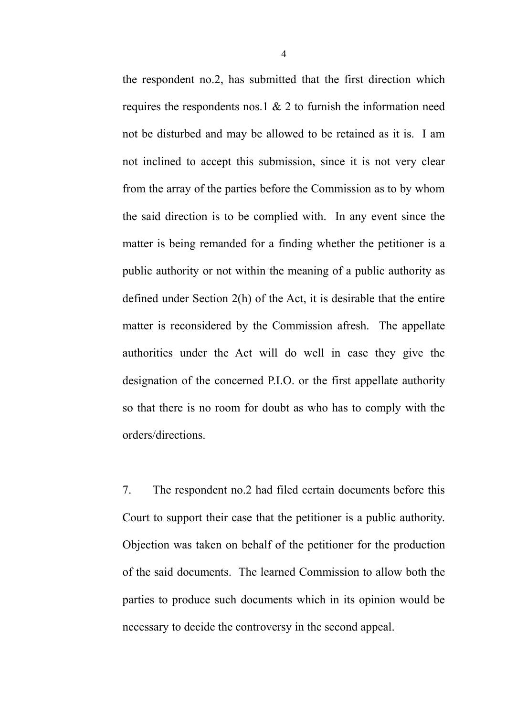the respondent no.2, has submitted that the first direction which requires the respondents nos.1 & 2 to furnish the information need not be disturbed and may be allowed to be retained as it is. I am not inclined to accept this submission, since it is not very clear from the array of the parties before the Commission as to by whom the said direction is to be complied with. In any event since the matter is being remanded for a finding whether the petitioner is a public authority or not within the meaning of a public authority as defined under Section 2(h) of the Act, it is desirable that the entire matter is reconsidered by the Commission afresh. The appellate authorities under the Act will do well in case they give the designation of the concerned P.I.O. or the first appellate authority so that there is no room for doubt as who has to comply with the orders/directions.

7. The respondent no.2 had filed certain documents before this Court to support their case that the petitioner is a public authority. Objection was taken on behalf of the petitioner for the production of the said documents. The learned Commission to allow both the parties to produce such documents which in its opinion would be necessary to decide the controversy in the second appeal.